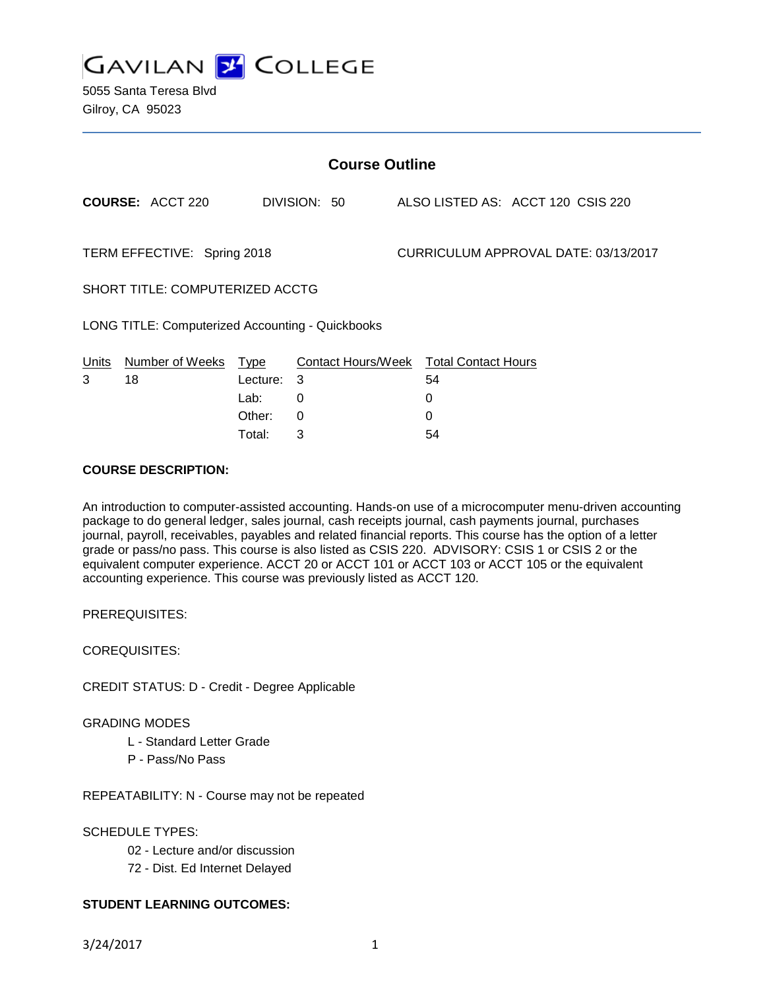

5055 Santa Teresa Blvd Gilroy, CA 95023

| <b>Course Outline</b>       |                                                  |             |              |  |                                        |                                   |  |
|-----------------------------|--------------------------------------------------|-------------|--------------|--|----------------------------------------|-----------------------------------|--|
|                             | <b>COURSE: ACCT 220</b>                          |             | DIVISION: 50 |  |                                        | ALSO LISTED AS: ACCT 120 CSIS 220 |  |
| TERM EFFECTIVE: Spring 2018 |                                                  |             |              |  | CURRICULUM APPROVAL DATE: 03/13/2017   |                                   |  |
|                             | SHORT TITLE: COMPUTERIZED ACCTG                  |             |              |  |                                        |                                   |  |
|                             | LONG TITLE: Computerized Accounting - Quickbooks |             |              |  |                                        |                                   |  |
| <b>Units</b>                | Number of Weeks                                  | <u>Type</u> |              |  | Contact Hours/Week Total Contact Hours |                                   |  |
| 3                           | 18                                               | Lecture:    | 3            |  | 54                                     |                                   |  |
|                             |                                                  | Lab:        | 0            |  | 0                                      |                                   |  |
|                             |                                                  | Other:      | $\Omega$     |  | 0                                      |                                   |  |
|                             |                                                  | Total:      | 3            |  | 54                                     |                                   |  |

#### **COURSE DESCRIPTION:**

An introduction to computer-assisted accounting. Hands-on use of a microcomputer menu-driven accounting package to do general ledger, sales journal, cash receipts journal, cash payments journal, purchases journal, payroll, receivables, payables and related financial reports. This course has the option of a letter grade or pass/no pass. This course is also listed as CSIS 220. ADVISORY: CSIS 1 or CSIS 2 or the equivalent computer experience. ACCT 20 or ACCT 101 or ACCT 103 or ACCT 105 or the equivalent accounting experience. This course was previously listed as ACCT 120.

PREREQUISITES:

COREQUISITES:

CREDIT STATUS: D - Credit - Degree Applicable

GRADING MODES

L - Standard Letter Grade

P - Pass/No Pass

REPEATABILITY: N - Course may not be repeated

SCHEDULE TYPES:

02 - Lecture and/or discussion

72 - Dist. Ed Internet Delayed

### **STUDENT LEARNING OUTCOMES:**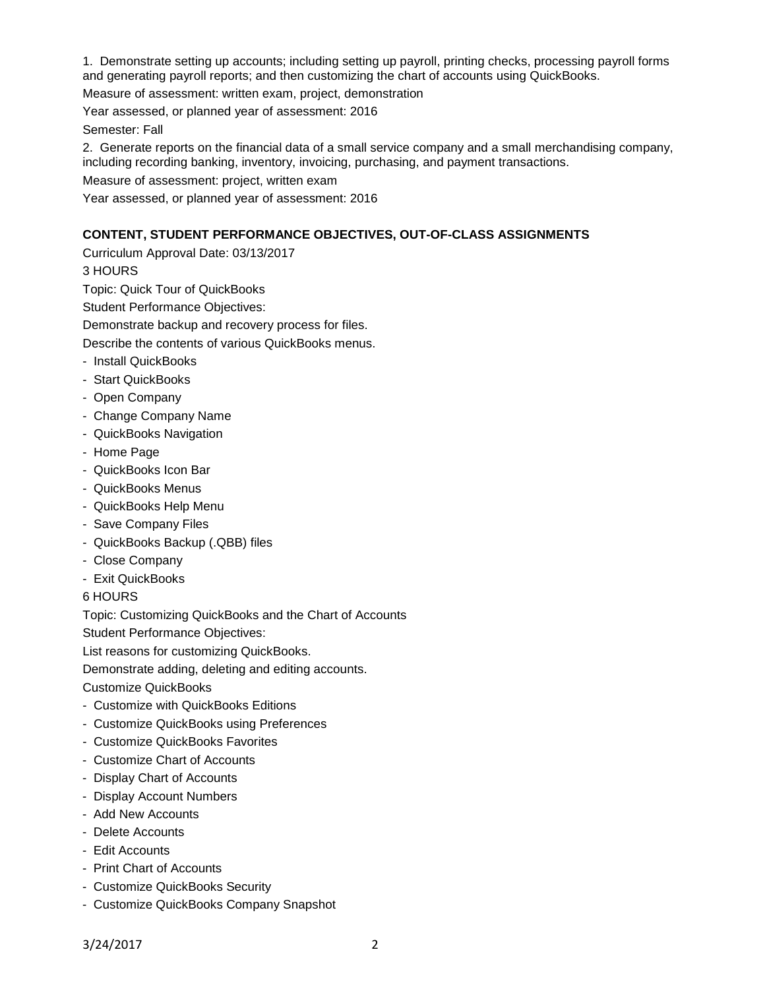1. Demonstrate setting up accounts; including setting up payroll, printing checks, processing payroll forms and generating payroll reports; and then customizing the chart of accounts using QuickBooks.

Measure of assessment: written exam, project, demonstration

Year assessed, or planned year of assessment: 2016

Semester: Fall

2. Generate reports on the financial data of a small service company and a small merchandising company, including recording banking, inventory, invoicing, purchasing, and payment transactions.

Measure of assessment: project, written exam

Year assessed, or planned year of assessment: 2016

# **CONTENT, STUDENT PERFORMANCE OBJECTIVES, OUT-OF-CLASS ASSIGNMENTS**

Curriculum Approval Date: 03/13/2017

3 HOURS

Topic: Quick Tour of QuickBooks

Student Performance Objectives:

Demonstrate backup and recovery process for files.

Describe the contents of various QuickBooks menus.

- Install QuickBooks
- Start QuickBooks
- Open Company
- Change Company Name
- QuickBooks Navigation
- Home Page
- QuickBooks Icon Bar
- QuickBooks Menus
- QuickBooks Help Menu
- Save Company Files
- QuickBooks Backup (.QBB) files
- Close Company
- Exit QuickBooks

6 HOURS

Topic: Customizing QuickBooks and the Chart of Accounts

Student Performance Objectives:

List reasons for customizing QuickBooks.

Demonstrate adding, deleting and editing accounts.

Customize QuickBooks

- Customize with QuickBooks Editions
- Customize QuickBooks using Preferences
- Customize QuickBooks Favorites
- Customize Chart of Accounts
- Display Chart of Accounts
- Display Account Numbers
- Add New Accounts
- Delete Accounts
- Edit Accounts
- Print Chart of Accounts
- Customize QuickBooks Security
- Customize QuickBooks Company Snapshot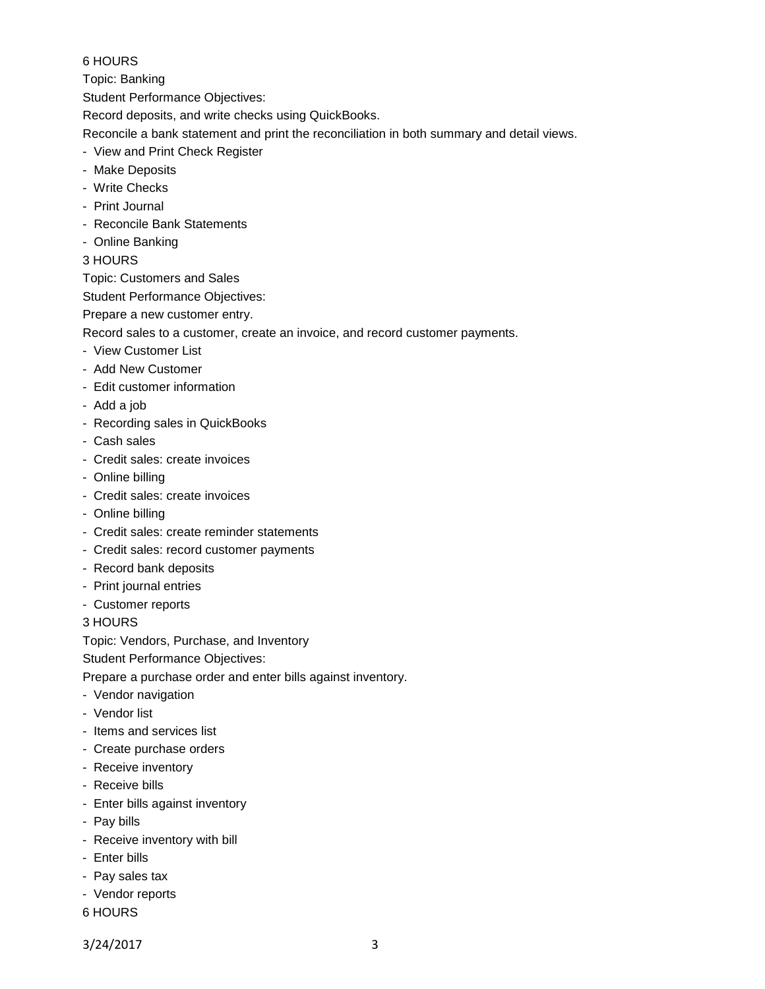# 6 HOURS

Topic: Banking

Student Performance Objectives:

Record deposits, and write checks using QuickBooks.

Reconcile a bank statement and print the reconciliation in both summary and detail views.

- View and Print Check Register
- Make Deposits
- Write Checks
- Print Journal
- Reconcile Bank Statements
- Online Banking
- 3 HOURS

Topic: Customers and Sales

Student Performance Objectives:

Prepare a new customer entry.

Record sales to a customer, create an invoice, and record customer payments.

- View Customer List
- Add New Customer
- Edit customer information
- Add a job
- Recording sales in QuickBooks
- Cash sales
- Credit sales: create invoices
- Online billing
- Credit sales: create invoices
- Online billing
- Credit sales: create reminder statements
- Credit sales: record customer payments
- Record bank deposits
- Print journal entries
- Customer reports

3 HOURS

Topic: Vendors, Purchase, and Inventory

Student Performance Objectives:

Prepare a purchase order and enter bills against inventory.

- Vendor navigation
- Vendor list
- Items and services list
- Create purchase orders
- Receive inventory
- Receive bills
- Enter bills against inventory
- Pay bills
- Receive inventory with bill
- Enter bills
- Pay sales tax
- Vendor reports
- 6 HOURS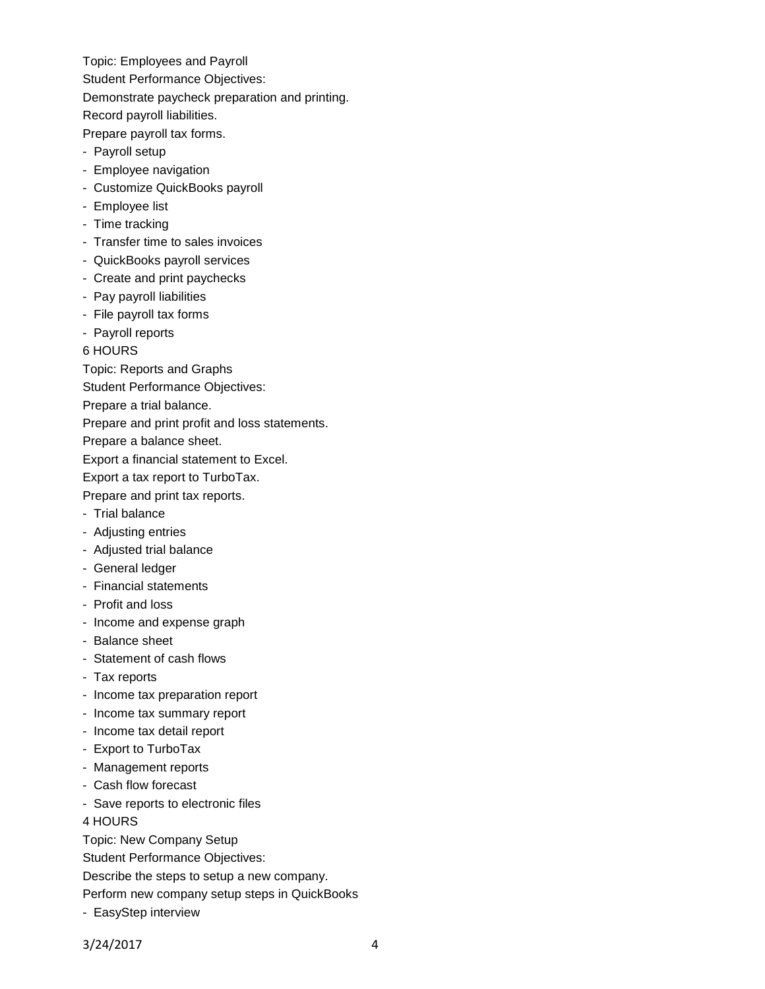Topic: Employees and Payroll Student Performance Objectives: Demonstrate paycheck preparation and printing. Record payroll liabilities.

Prepare payroll tax forms.

- Payroll setup
- Employee navigation
- Customize QuickBooks payroll
- Employee list
- Time tracking
- Transfer time to sales invoices
- QuickBooks payroll services
- Create and print paychecks
- Pay payroll liabilities
- File payroll tax forms
- Payroll reports
- 6 HOURS

Topic: Reports and Graphs

Student Performance Objectives:

Prepare a trial balance.

Prepare and print profit and loss statements.

Prepare a balance sheet.

Export a financial statement to Excel.

Export a tax report to TurboTax.

Prepare and print tax reports.

- Trial balance
- Adjusting entries
- Adjusted trial balance
- General ledger
- Financial statements
- Profit and loss
- Income and expense graph
- Balance sheet
- Statement of cash flows
- Tax reports
- Income tax preparation report
- Income tax summary report
- Income tax detail report
- Export to TurboTax
- Management reports
- Cash flow forecast
- Save reports to electronic files

4 HOURS

Topic: New Company Setup

Student Performance Objectives:

Describe the steps to setup a new company.

Perform new company setup steps in QuickBooks

- EasyStep interview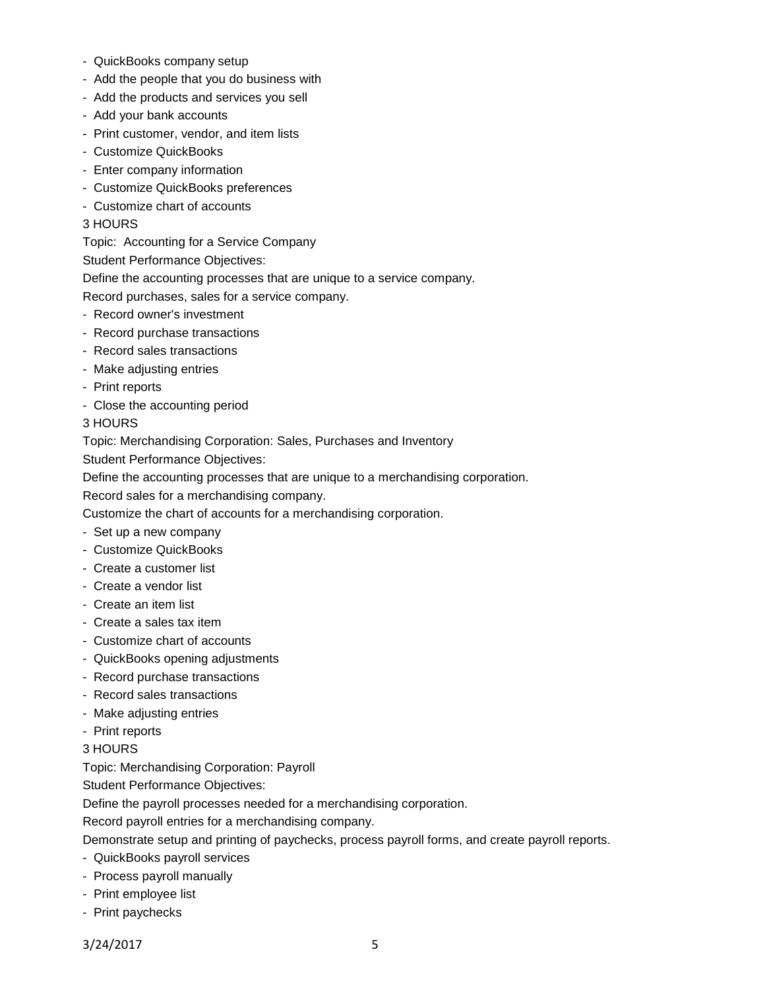- QuickBooks company setup
- Add the people that you do business with
- Add the products and services you sell
- Add your bank accounts
- Print customer, vendor, and item lists
- Customize QuickBooks
- Enter company information
- Customize QuickBooks preferences
- Customize chart of accounts
- 3 HOURS

Topic: Accounting for a Service Company

Student Performance Objectives:

Define the accounting processes that are unique to a service company.

Record purchases, sales for a service company.

- Record owner's investment
- Record purchase transactions
- Record sales transactions
- Make adjusting entries
- Print reports
- Close the accounting period

#### 3 HOURS

Topic: Merchandising Corporation: Sales, Purchases and Inventory

Student Performance Objectives:

Define the accounting processes that are unique to a merchandising corporation.

Record sales for a merchandising company.

Customize the chart of accounts for a merchandising corporation.

- Set up a new company
- Customize QuickBooks
- Create a customer list
- Create a vendor list
- Create an item list
- Create a sales tax item
- Customize chart of accounts
- QuickBooks opening adjustments
- Record purchase transactions
- Record sales transactions
- Make adjusting entries
- Print reports

#### 3 HOURS

Topic: Merchandising Corporation: Payroll

Student Performance Objectives:

Define the payroll processes needed for a merchandising corporation.

Record payroll entries for a merchandising company.

Demonstrate setup and printing of paychecks, process payroll forms, and create payroll reports.

- QuickBooks payroll services
- Process payroll manually
- Print employee list
- Print paychecks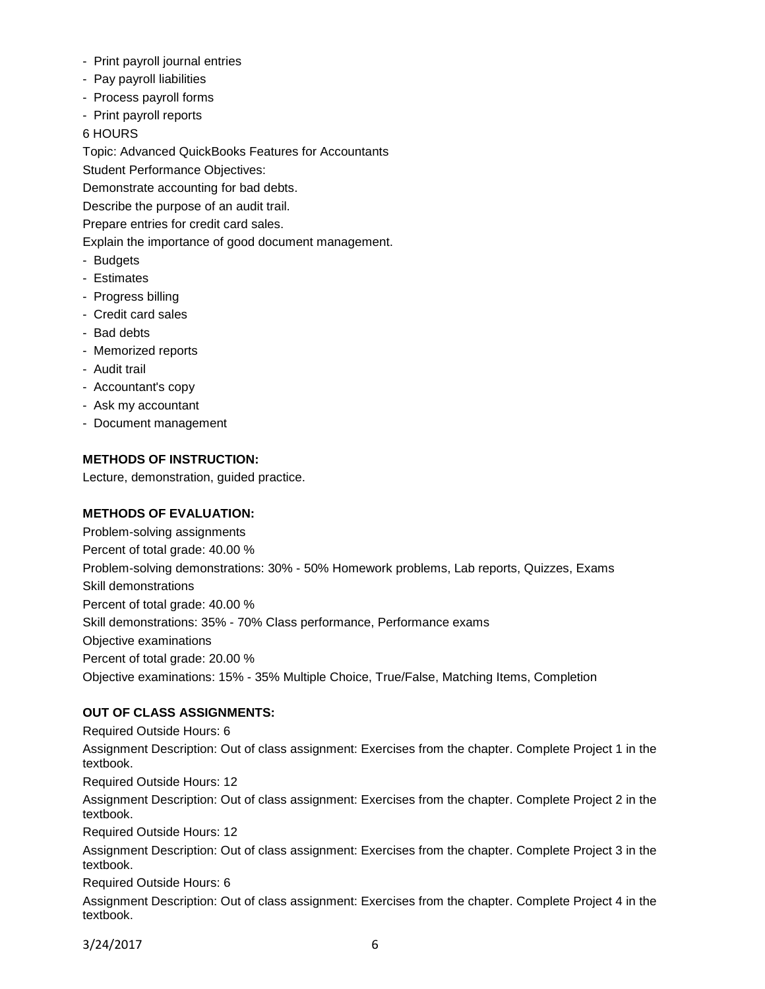- Print payroll journal entries
- Pay payroll liabilities
- Process payroll forms
- Print payroll reports

# 6 HOURS

Topic: Advanced QuickBooks Features for Accountants Student Performance Objectives:

Demonstrate accounting for bad debts.

Describe the purpose of an audit trail.

Prepare entries for credit card sales.

Explain the importance of good document management.

- Budgets
- Estimates
- Progress billing
- Credit card sales
- Bad debts
- Memorized reports
- Audit trail
- Accountant's copy
- Ask my accountant
- Document management

# **METHODS OF INSTRUCTION:**

Lecture, demonstration, guided practice.

### **METHODS OF EVALUATION:**

Problem-solving assignments Percent of total grade: 40.00 % Problem-solving demonstrations: 30% - 50% Homework problems, Lab reports, Quizzes, Exams Skill demonstrations Percent of total grade: 40.00 % Skill demonstrations: 35% - 70% Class performance, Performance exams Objective examinations Percent of total grade: 20.00 % Objective examinations: 15% - 35% Multiple Choice, True/False, Matching Items, Completion

# **OUT OF CLASS ASSIGNMENTS:**

Required Outside Hours: 6 Assignment Description: Out of class assignment: Exercises from the chapter. Complete Project 1 in the textbook.

Required Outside Hours: 12

Assignment Description: Out of class assignment: Exercises from the chapter. Complete Project 2 in the textbook.

Required Outside Hours: 12

Assignment Description: Out of class assignment: Exercises from the chapter. Complete Project 3 in the textbook.

Required Outside Hours: 6

Assignment Description: Out of class assignment: Exercises from the chapter. Complete Project 4 in the textbook.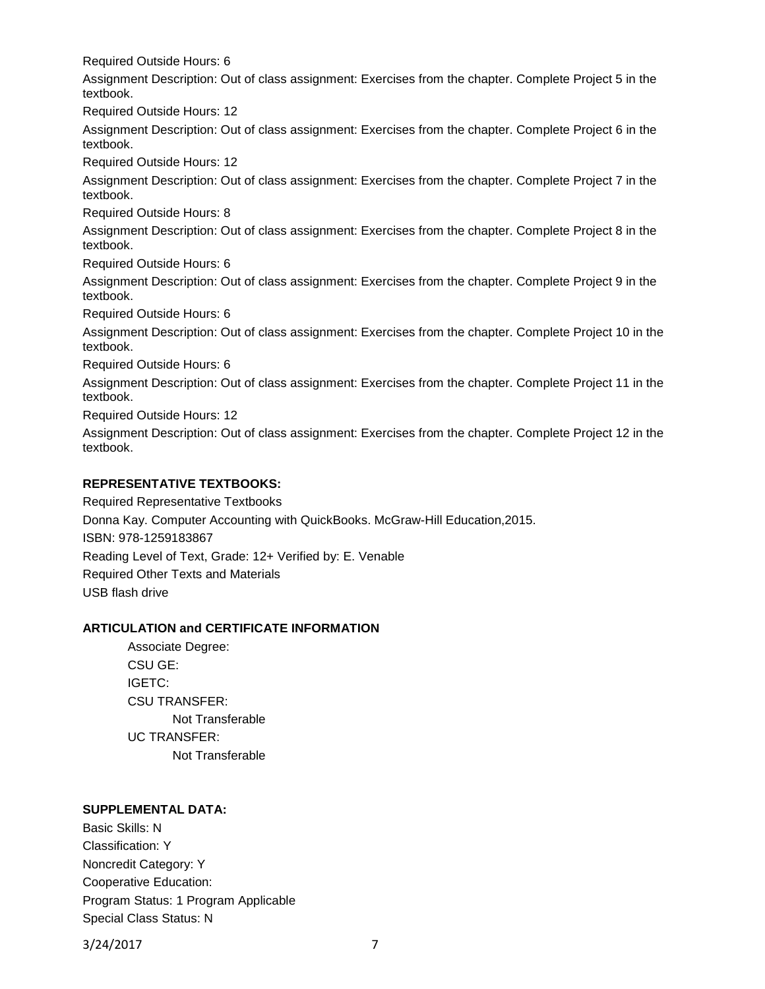Required Outside Hours: 6

Assignment Description: Out of class assignment: Exercises from the chapter. Complete Project 5 in the textbook.

Required Outside Hours: 12

Assignment Description: Out of class assignment: Exercises from the chapter. Complete Project 6 in the textbook.

Required Outside Hours: 12

Assignment Description: Out of class assignment: Exercises from the chapter. Complete Project 7 in the textbook.

Required Outside Hours: 8

Assignment Description: Out of class assignment: Exercises from the chapter. Complete Project 8 in the textbook.

Required Outside Hours: 6

Assignment Description: Out of class assignment: Exercises from the chapter. Complete Project 9 in the textbook.

Required Outside Hours: 6

Assignment Description: Out of class assignment: Exercises from the chapter. Complete Project 10 in the textbook.

Required Outside Hours: 6

Assignment Description: Out of class assignment: Exercises from the chapter. Complete Project 11 in the textbook.

Required Outside Hours: 12

Assignment Description: Out of class assignment: Exercises from the chapter. Complete Project 12 in the textbook.

# **REPRESENTATIVE TEXTBOOKS:**

Required Representative Textbooks Donna Kay. Computer Accounting with QuickBooks. McGraw-Hill Education,2015. ISBN: 978-1259183867 Reading Level of Text, Grade: 12+ Verified by: E. Venable Required Other Texts and Materials USB flash drive

### **ARTICULATION and CERTIFICATE INFORMATION**

Associate Degree: CSU GE: IGETC: CSU TRANSFER: Not Transferable UC TRANSFER: Not Transferable

### **SUPPLEMENTAL DATA:**

Basic Skills: N Classification: Y Noncredit Category: Y Cooperative Education: Program Status: 1 Program Applicable Special Class Status: N

3/24/2017 7